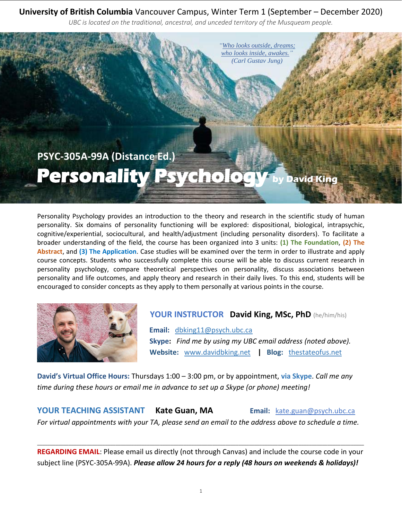# **University of British Columbia** Vancouver Campus, Winter Term 1 (September – December 2020)

*UBC is located on the traditional, ancestral, and unceded territory of the Musqueam people.*



Personality Psychology provides an introduction to the theory and research in the scientific study of human personality. Six domains of personality functioning will be explored: dispositional, biological, intrapsychic, cognitive/experiential, sociocultural, and health/adjustment (including personality disorders). To facilitate a broader understanding of the field, the course has been organized into 3 units: **(1) The Foundation**, **(2) The Abstract**, and **(3) The Application**. Case studies will be examined over the term in order to illustrate and apply course concepts. Students who successfully complete this course will be able to discuss current research in personality psychology, compare theoretical perspectives on personality, discuss associations between personality and life outcomes, and apply theory and research in their daily lives. To this end, students will be encouraged to consider concepts as they apply to them personally at various points in the course.



# **YOUR INSTRUCTOR David King, MSc, PhD** (he/him/his)

 **Email:** [dbking11@psych.ubc.ca](mailto:dbking11@psych.ubc.ca)  **Skype:** *Find me by using my UBC email address (noted above).*  **Website:** [www.davidbking.net](http://www.davidbking.net/) **| Blog:** [thestateofus.net](http://www.thestateofus.net/)

**David's Virtual Office Hours:** Thursdays 1:00 – 3:00 pm, or by appointment, **via Skype**. *Call me any time during these hours or email me in advance to set up a Skype (or phone) meeting!*

**YOUR TEACHING ASSISTANT Kate Guan, MA Email:** [kate.guan@psych.ubc.ca](mailto:kate.guan@psych.ubc.ca) *For virtual appointments with your TA, please send an email to the address above to schedule a time.* 

**REGARDING EMAIL**: Please email us directly (not through Canvas) and include the course code in your subject line (PSYC-305A-99A). *Please allow 24 hours for a reply (48 hours on weekends & holidays)!*

\_\_\_\_\_\_\_\_\_\_\_\_\_\_\_\_\_\_\_\_\_\_\_\_\_\_\_\_\_\_\_\_\_\_\_\_\_\_\_\_\_\_\_\_\_\_\_\_\_\_\_\_\_\_\_\_\_\_\_\_\_\_\_\_\_\_\_\_\_\_\_\_\_\_\_\_\_\_\_\_\_\_\_\_\_\_\_\_\_\_\_\_\_\_\_\_\_\_\_\_\_\_\_\_\_\_\_\_\_\_\_\_\_\_\_\_\_\_\_\_\_\_\_\_\_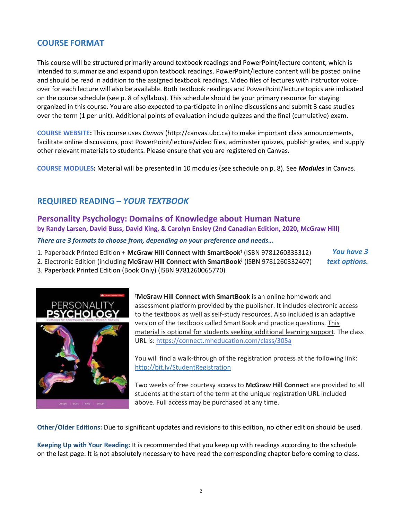## **COURSE FORMAT**

This course will be structured primarily around textbook readings and PowerPoint/lecture content, which is intended to summarize and expand upon textbook readings. PowerPoint/lecture content will be posted online and should be read in addition to the assigned textbook readings. Video files of lectures with instructor voiceover for each lecture will also be available. Both textbook readings and PowerPoint/lecture topics are indicated on the course schedule (see p. 8 of syllabus). This schedule should be your primary resource for staying organized in this course. You are also expected to participate in online discussions and submit 3 case studies over the term (1 per unit). Additional points of evaluation include quizzes and the final (cumulative) exam.

**COURSE WEBSITE:** This course uses *Canvas* (http://canvas.ubc.ca) to make important class announcements, facilitate online discussions, post PowerPoint/lecture/video files, administer quizzes, publish grades, and supply other relevant materials to students. Please ensure that you are registered on Canvas.

**COURSE MODULES:** Material will be presented in 10 modules (see schedule on p. 8). See *Modules* in Canvas.

## **REQUIRED READING** *– YOUR TEXTBOOK*

## **Personality Psychology: Domains of Knowledge about Human Nature by Randy Larsen, David Buss, David King, & Carolyn Ensley (2nd Canadian Edition, 2020, McGraw Hill)**

*There are 3 formats to choose from, depending on your preference and needs…*

1. Paperback Printed Edition + McGraw Hill Connect with SmartBook<sup>†</sup> (ISBN 9781260333312)

2. Electronic Edition (including McGraw Hill Connect with SmartBook<sup>†</sup> (ISBN 9781260332407)

3. Paperback Printed Edition (Book Only) (ISBN 9781260065770)



<sup>ϯ</sup>**McGraw Hill Connect with SmartBook** is an online homework and assessment platform provided by the publisher. It includes electronic access to the textbook as well as self-study resources. Also included is an adaptive version of the textbook called SmartBook and practice questions. This material is optional for students seeking additional learning support. The class URL is:<https://connect.mheducation.com/class/305a>

*You have 3 text options.*

You will find a walk-through of the registration process at the following link: <http://bit.ly/StudentRegistration>

Two weeks of free courtesy access to **McGraw Hill Connect** are provided to all students at the start of the term at the unique registration URL included above. Full access may be purchased at any time.

**Other/Older Editions:** Due to significant updates and revisions to this edition, no other edition should be used.

**Keeping Up with Your Reading:** It is recommended that you keep up with readings according to the schedule on the last page. It is not absolutely necessary to have read the corresponding chapter before coming to class.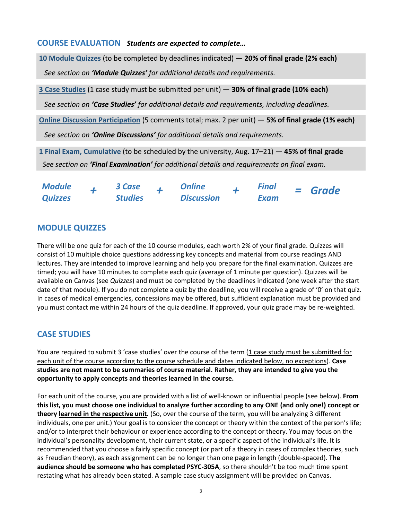#### **COURSE EVALUATION** *Students are expected to complete…*

**10 Module Quizzes** (to be completed by deadlines indicated) — **20% of final grade (2% each)** *See section on 'Module Quizzes' for additional details and requirements.*

**3 Case Studies** (1 case study must be submitted per unit) — **30% of final grade (10% each)**

*See section on 'Case Studies' for additional details and requirements, including deadlines.*

**Online Discussion Participation** (5 comments total; max. 2 per unit) — **5% of final grade (1% each)** *See section on 'Online Discussions' for additional details and requirements.*

**1 Final Exam, Cumulative** (to be scheduled by the university, Aug. 17**–**21) — **45% of final grade** *See section on 'Final Examination' for additional details and requirements on final exam.*

| <b>Module</b>  | 3 Case         | <b>Online</b>     | <b>Final</b> | $=$ Grade |
|----------------|----------------|-------------------|--------------|-----------|
| <b>Quizzes</b> | <b>Studies</b> | <b>Discussion</b> | Exam         |           |

# **MODULE QUIZZES**

There will be one quiz for each of the 10 course modules, each worth 2% of your final grade. Quizzes will consist of 10 multiple choice questions addressing key concepts and material from course readings AND lectures. They are intended to improve learning and help you prepare for the final examination. Quizzes are timed; you will have 10 minutes to complete each quiz (average of 1 minute per question). Quizzes will be available on Canvas (see *Quizzes*) and must be completed by the deadlines indicated (one week after the start date of that module). If you do not complete a quiz by the deadline, you will receive a grade of '0' on that quiz. In cases of medical emergencies, concessions may be offered, but sufficient explanation must be provided and you must contact me within 24 hours of the quiz deadline. If approved, your quiz grade may be re-weighted.

# **CASE STUDIES**

You are required to submit 3 'case studies' over the course of the term (1 case study must be submitted for each unit of the course according to the course schedule and dates indicated below, no exceptions). **Case studies are not meant to be summaries of course material. Rather, they are intended to give you the opportunity to apply concepts and theories learned in the course.** 

For each unit of the course, you are provided with a list of well-known or influential people (see below). **From this list, you must choose one individual to analyze further according to any ONE (and only one!) concept or theory learned in the respective unit.** (So, over the course of the term, you will be analyzing 3 different individuals, one per unit.) Your goal is to consider the concept or theory within the context of the person's life; and/or to interpret their behaviour or experience according to the concept or theory. You may focus on the individual's personality development, their current state, or a specific aspect of the individual's life. It is recommended that you choose a fairly specific concept (or part of a theory in cases of complex theories, such as Freudian theory), as each assignment can be no longer than one page in length (double-spaced). **The audience should be someone who has completed PSYC-305A**, so there shouldn't be too much time spent restating what has already been stated. A sample case study assignment will be provided on Canvas.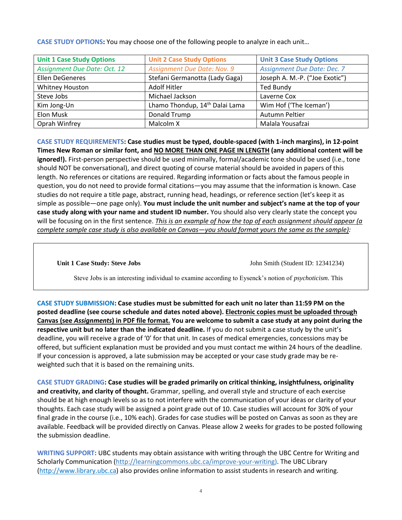| <b>Unit 1 Case Study Options</b>    | <b>Unit 2 Case Study Options</b>           | <b>Unit 3 Case Study Options</b>   |  |
|-------------------------------------|--------------------------------------------|------------------------------------|--|
| <b>Assignment Due Date: Oct. 12</b> | Assignment Due Date: Nov. 9                | <b>Assignment Due Date: Dec. 7</b> |  |
| <b>Ellen DeGeneres</b>              | Stefani Germanotta (Lady Gaga)             | Joseph A. M.-P. ("Joe Exotic")     |  |
| Whitney Houston                     | Adolf Hitler                               | <b>Ted Bundy</b>                   |  |
| Steve Jobs                          | Michael Jackson                            | Laverne Cox                        |  |
| Kim Jong-Un                         | Lhamo Thondup, 14 <sup>th</sup> Dalai Lama | Wim Hof ('The Iceman')             |  |
| Elon Musk                           | Donald Trump                               | Autumn Peltier                     |  |
| Oprah Winfrey                       | Malcolm X                                  | Malala Yousafzai                   |  |

**CASE STUDY OPTIONS:** You may choose one of the following people to analyze in each unit…

**CASE STUDY REQUIREMENTS: Case studies must be typed, double-spaced (with 1-inch margins), in 12-point Times New Roman or similar font, and NO MORE THAN ONE PAGE IN LENGTH (any additional content will be ignored!).** First-person perspective should be used minimally, formal/academic tone should be used (i.e., tone should NOT be conversational), and direct quoting of course material should be avoided in papers of this length. No references or citations are required. Regarding information or facts about the famous people in question, you do not need to provide formal citations—you may assume that the information is known. Case studies do not require a title page, abstract, running head, headings, or reference section (let's keep it as simple as possible—one page only). **You must include the unit number and subject's name at the top of your case study along with your name and student ID number.** You should also very clearly state the concept you will be focusing on in the first sentence. *This is an example of how the top of each assignment should appear (a complete sample case study is also available on Canvas—you should format yours the same as the sample):*

**Unit 1 Case Study: Steve Jobs** John Smith (Student ID: 12341234)

Steve Jobs is an interesting individual to examine according to Eysenck's notion of *psychoticism*. This

**CASE STUDY SUBMISSION: Case studies must be submitted for each unit no later than 11:59 PM on the posted deadline (see course schedule and dates noted above). Electronic copies must be uploaded through Canvas (see** *Assignments***) in PDF file format. You are welcome to submit a case study at any point during the respective unit but no later than the indicated deadline.** If you do not submit a case study by the unit's deadline, you will receive a grade of '0' for that unit. In cases of medical emergencies, concessions may be offered, but sufficient explanation must be provided and you must contact me within 24 hours of the deadline. If your concession is approved, a late submission may be accepted or your case study grade may be reweighted such that it is based on the remaining units.

**CASE STUDY GRADING: Case studies will be graded primarily on critical thinking, insightfulness, originality and creativity, and clarity of thought.** Grammar, spelling, and overall style and structure of each exercise should be at high enough levels so as to not interfere with the communication of your ideas or clarity of your thoughts. Each case study will be assigned a point grade out of 10. Case studies will account for 30% of your final grade in the course (i.e., 10% each). Grades for case studies will be posted on Canvas as soon as they are available. Feedback will be provided directly on Canvas. Please allow 2 weeks for grades to be posted following the submission deadline.

**WRITING SUPPORT:** UBC students may obtain assistance with writing through the UBC Centre for Writing and Scholarly Communication [\(http://learningcommons.ubc.ca/improve-your-writing\)](http://learningcommons.ubc.ca/improve-your-writing). The UBC Library [\(http://www.library.ubc.ca\)](http://www.library.ubc.ca/) also provides online information to assist students in research and writing.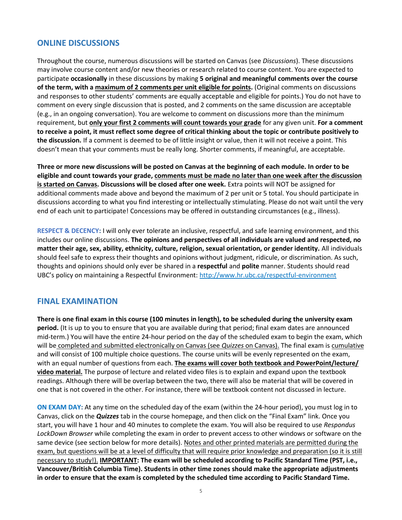#### **ONLINE DISCUSSIONS**

Throughout the course, numerous discussions will be started on Canvas (see *Discussions*). These discussions may involve course content and/or new theories or research related to course content. You are expected to participate **occasionally** in these discussions by making **5 original and meaningful comments over the course of the term, with a maximum of 2 comments per unit eligible for points.** (Original comments on discussions and responses to other students' comments are equally acceptable and eligible for points.) You do not have to comment on every single discussion that is posted, and 2 comments on the same discussion are acceptable (e.g., in an ongoing conversation). You are welcome to comment on discussions more than the minimum requirement, but **only your first 2 comments will count towards your grade** for any given unit. **For a comment to receive a point, it must reflect some degree of critical thinking about the topic or contribute positively to the discussion.** If a comment is deemed to be of little insight or value, then it will not receive a point. This doesn't mean that your comments must be really long. Shorter comments, if meaningful, are acceptable.

**Three or more new discussions will be posted on Canvas at the beginning of each module. In order to be eligible and count towards your grade, comments must be made no later than one week after the discussion is started on Canvas. Discussions will be closed after one week.** Extra points will NOT be assigned for additional comments made above and beyond the maximum of 2 per unit or 5 total. You should participate in discussions according to what you find interesting or intellectually stimulating. Please do not wait until the very end of each unit to participate! Concessions may be offered in outstanding circumstances (e.g., illness).

**RESPECT & DECENCY:** I will only ever tolerate an inclusive, respectful, and safe learning environment, and this includes our online discussions. **The opinions and perspectives of all individuals are valued and respected, no matter their age, sex, ability, ethnicity, culture, religion, sexual orientation, or gender identity.** All individuals should feel safe to express their thoughts and opinions without judgment, ridicule, or discrimination. As such, thoughts and opinions should only ever be shared in a **respectful** and **polite** manner. Students should read UBC's policy on maintaining a Respectful Environment: [http://www.hr.ubc.ca/respectful-environment](http://www.hr.ubc.ca/respectful-environment/)

#### **FINAL EXAMINATION**

**There is one final exam in this course (100 minutes in length), to be scheduled during the university exam period.** (It is up to you to ensure that you are available during that period; final exam dates are announced mid-term.) You will have the entire 24-hour period on the day of the scheduled exam to begin the exam, which will be completed and submitted electronically on Canvas (see *Quizzes* on Canvas). The final exam is cumulative and will consist of 100 multiple choice questions. The course units will be evenly represented on the exam, with an equal number of questions from each. **The exams will cover both textbook and PowerPoint/lecture/ video material.** The purpose of lecture and related video files is to explain and expand upon the textbook readings. Although there will be overlap between the two, there will also be material that will be covered in one that is not covered in the other. For instance, there will be textbook content not discussed in lecture.

**ON EXAM DAY:** At any time on the scheduled day of the exam (within the 24-hour period), you must log in to Canvas, click on the *Quizzes* tab in the course homepage, and then click on the "Final Exam" link. Once you start, you will have 1 hour and 40 minutes to complete the exam. You will also be required to use *Respondus LockDown Browser* while completing the exam in order to prevent access to other windows or software on the same device (see section below for more details). Notes and other printed materials are permitted during the exam, but questions will be at a level of difficulty that will require prior knowledge and preparation (so it is still necessary to study!). **IMPORTANT: The exam will be scheduled according to Pacific Standard Time (PST, i.e., Vancouver/British Columbia Time). Students in other time zones should make the appropriate adjustments in order to ensure that the exam is completed by the scheduled time according to Pacific Standard Time.**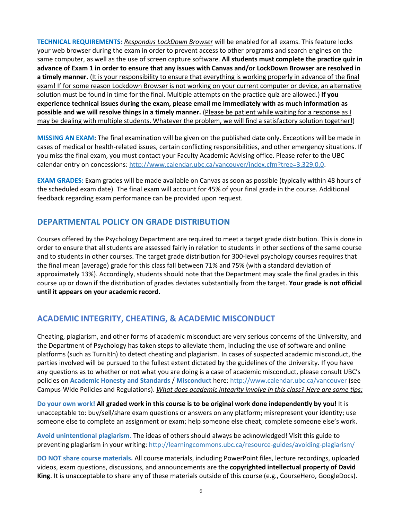**TECHNICAL REQUIREMENTS:** *Respondus LockDown Browser* will be enabled for all exams. This feature locks your web browser during the exam in order to prevent access to other programs and search engines on the same computer, as well as the use of screen capture software. **All students must complete the practice quiz in advance of Exam 1 in order to ensure that any issues with Canvas and/or LockDown Browser are resolved in a timely manner.** (It is your responsibility to ensure that everything is working properly in advance of the final exam! If for some reason Lockdown Browser is not working on your current computer or device, an alternative solution must be found in time for the final. Multiple attempts on the practice quiz are allowed.) **If you experience technical issues during the exam, please email me immediately with as much information as possible and we will resolve things in a timely manner.** (Please be patient while waiting for a response as I may be dealing with multiple students. Whatever the problem, we will find a satisfactory solution together!)

**MISSING AN EXAM:** The final examination will be given on the published date only. Exceptions will be made in cases of medical or health-related issues, certain conflicting responsibilities, and other emergency situations. If you miss the final exam, you must contact your Faculty Academic Advising office. Please refer to the UBC calendar entry on concessions: [http://www.calendar.ubc.ca/vancouver/index.cfm?tree=3,329,0,0.](http://www.calendar.ubc.ca/vancouver/index.cfm?tree=3,329,0,0)

**EXAM GRADES:** Exam grades will be made available on Canvas as soon as possible (typically within 48 hours of the scheduled exam date). The final exam will account for 45% of your final grade in the course. Additional feedback regarding exam performance can be provided upon request.

# **DEPARTMENTAL POLICY ON GRADE DISTRIBUTION**

Courses offered by the Psychology Department are required to meet a target grade distribution. This is done in order to ensure that all students are assessed fairly in relation to students in other sections of the same course and to students in other courses. The target grade distribution for 300-level psychology courses requires that the final mean (average) grade for this class fall between 71% and 75% (with a standard deviation of approximately 13%). Accordingly, students should note that the Department may scale the final grades in this course up or down if the distribution of grades deviates substantially from the target. **Your grade is not official until it appears on your academic record.**

# **ACADEMIC INTEGRITY, CHEATING, & ACADEMIC MISCONDUCT**

Cheating, plagiarism, and other forms of academic misconduct are very serious concerns of the University, and the Department of Psychology has taken steps to alleviate them, including the use of software and online platforms (such as TurnItIn) to detect cheating and plagiarism. In cases of suspected academic misconduct, the parties involved will be pursued to the fullest extent dictated by the guidelines of the University. If you have any questions as to whether or not what you are doing is a case of academic misconduct, please consult UBC's policies on **Academic Honesty and Standards** / **Misconduct** here: [http://www.calendar.ubc.ca/vancouver](http://www.calendar.ubc.ca/vancouver/) (see Campus-Wide Policies and Regulations). *What does academic integrity involve in this class? Here are some tips:*

**Do your own work! All graded work in this course is to be original work done independently by you!** It is unacceptable to: buy/sell/share exam questions or answers on any platform; misrepresent your identity; use someone else to complete an assignment or exam; help someone else cheat; complete someone else's work.

**Avoid unintentional plagiarism.** The ideas of others should always be acknowledged! Visit this guide to preventing plagiarism in your writing: <http://learningcommons.ubc.ca/resource-guides/avoiding-plagiarism/>

**DO NOT share course materials.** All course materials, including PowerPoint files, lecture recordings, uploaded videos, exam questions, discussions, and announcements are the **copyrighted intellectual property of David King**. It is unacceptable to share any of these materials outside of this course (e.g., CourseHero, GoogleDocs).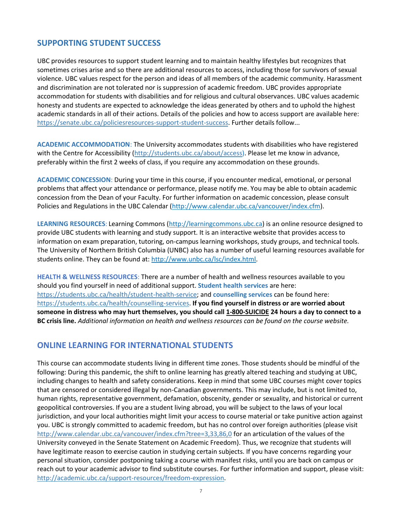### **SUPPORTING STUDENT SUCCESS**

UBC provides resources to support student learning and to maintain healthy lifestyles but recognizes that sometimes crises arise and so there are additional resources to access, including those for survivors of sexual violence. UBC values respect for the person and ideas of all members of the academic community. Harassment and discrimination are not tolerated nor is suppression of academic freedom. UBC provides appropriate accommodation for students with disabilities and for religious and cultural observances. UBC values academic honesty and students are expected to acknowledge the ideas generated by others and to uphold the highest academic standards in all of their actions. Details of the policies and how to access support are available here: [https://senate.ubc.ca/policiesresources-support-student-success.](https://senate.ubc.ca/policiesresources-support-student-success) Further details follow...

**ACADEMIC ACCOMMODATION**: The University accommodates students with disabilities who have registered with the Centre for Accessibility [\(http://students.ubc.ca/about/access\)](http://students.ubc.ca/about/access). Please let me know in advance, preferably within the first 2 weeks of class, if you require any accommodation on these grounds.

**ACADEMIC CONCESSION**: During your time in this course, if you encounter medical, emotional, or personal problems that affect your attendance or performance, please notify me. You may be able to obtain academic concession from the Dean of your Faculty. For further information on academic concession, please consult Policies and Regulations in the UBC Calendar [\(http://www.calendar.ubc.ca/vancouver/index.cfm\)](http://www.calendar.ubc.ca/vancouver/index.cfm).

**LEARNING RESOURCES**: Learning Commons [\(http://learningcommons.ubc.ca\)](http://learningcommons.ubc.ca/) is an online resource designed to provide UBC students with learning and study support. It is an interactive website that provides access to information on exam preparation, tutoring, on-campus learning workshops, study groups, and technical tools. The University of Northern British Columbia (UNBC) also has a number of useful learning resources available for students online. They can be found at[: http://www.unbc.ca/lsc/index.html.](http://www.unbc.ca/lsc/index.html)

**HEALTH & WELLNESS RESOURCES**: There are a number of health and wellness resources available to you should you find yourself in need of additional support. **Student health services** are here: [https://students.ubc.ca/health/student-health-service;](https://students.ubc.ca/health/student-health-service) and **counselling services** can be found here: [https://students.ubc.ca/health/counselling-services.](https://students.ubc.ca/health/counselling-services) **If you find yourself in distress or are worried about someone in distress who may hurt themselves, you should call 1-800-SUICIDE 24 hours a day to connect to a BC crisis line.** *Additional information on health and wellness resources can be found on the course website.*

#### **ONLINE LEARNING FOR INTERNATIONAL STUDENTS**

This course can accommodate students living in different time zones. Those students should be mindful of the following: During this pandemic, the shift to online learning has greatly altered teaching and studying at UBC, including changes to health and safety considerations. Keep in mind that some UBC courses might cover topics that are censored or considered illegal by non-Canadian governments. This may include, but is not limited to, human rights, representative government, defamation, obscenity, gender or sexuality, and historical or current geopolitical controversies. If you are a student living abroad, you will be subject to the laws of your local jurisdiction, and your local authorities might limit your access to course material or take punitive action against you. UBC is strongly committed to academic freedom, but has no control over foreign authorities (please visit <http://www.calendar.ubc.ca/vancouver/index.cfm?tree=3,33,86,0> for an articulation of the values of the University conveyed in the Senate Statement on Academic Freedom). Thus, we recognize that students will have legitimate reason to exercise caution in studying certain subjects. If you have concerns regarding your personal situation, consider postponing taking a course with manifest risks, until you are back on campus or reach out to your academic advisor to find substitute courses. For further information and support, please visit: [http://academic.ubc.ca/support-resources/freedom-expression.](http://academic.ubc.ca/support-resources/freedom-expression)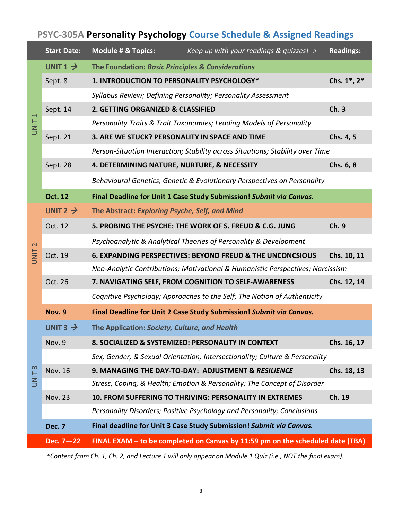# **PSYC-305A Personality Psychology Course Schedule & Assigned Readings**

|                   | <b>Start Date:</b>   | <b>Module # &amp; Topics:</b><br>Keep up with your readings & quizzes! $\rightarrow$ | <b>Readings:</b> |
|-------------------|----------------------|--------------------------------------------------------------------------------------|------------------|
| UNIT <sub>1</sub> | UNIT $1 \rightarrow$ | The Foundation: Basic Principles & Considerations                                    |                  |
|                   | Sept. 8              | 1. INTRODUCTION TO PERSONALITY PSYCHOLOGY*                                           | Chs. 1*, 2*      |
|                   |                      | Syllabus Review; Defining Personality; Personality Assessment                        |                  |
|                   | Sept. 14             | 2. GETTING ORGANIZED & CLASSIFIED                                                    | Ch.3             |
|                   |                      | Personality Traits & Trait Taxonomies; Leading Models of Personality                 |                  |
|                   | Sept. 21             | 3. ARE WE STUCK? PERSONALITY IN SPACE AND TIME                                       | Chs. 4, 5        |
|                   |                      | Person-Situation Interaction; Stability across Situations; Stability over Time       |                  |
|                   | Sept. 28             | 4. DETERMINING NATURE, NURTURE, & NECESSITY                                          | Chs. 6, 8        |
|                   |                      | Behavioural Genetics, Genetic & Evolutionary Perspectives on Personality             |                  |
|                   | <b>Oct. 12</b>       | Final Deadline for Unit 1 Case Study Submission! Submit via Canvas.                  |                  |
|                   | UNIT 2 $\rightarrow$ | The Abstract: Exploring Psyche, Self, and Mind                                       |                  |
|                   | Oct. 12              | 5. PROBING THE PSYCHE: THE WORK OF S. FREUD & C.G. JUNG                              | Ch. 9            |
| $\mathbf 2$       |                      | Psychoanalytic & Analytical Theories of Personality & Development                    |                  |
| <b>UNIT</b>       | Oct. 19              | <b>6. EXPANDING PERSPECTIVES: BEYOND FREUD &amp; THE UNCONCSIOUS</b>                 | Chs. 10, 11      |
|                   |                      | Neo-Analytic Contributions; Motivational & Humanistic Perspectives; Narcissism       |                  |
|                   | Oct. 26              | 7. NAVIGATING SELF, FROM COGNITION TO SELF-AWARENESS                                 | Chs. 12, 14      |
|                   |                      | Cognitive Psychology; Approaches to the Self; The Notion of Authenticity             |                  |
|                   | <b>Nov. 9</b>        | Final Deadline for Unit 2 Case Study Submission! Submit via Canvas.                  |                  |
|                   | UNIT $3 \rightarrow$ | The Application: Society, Culture, and Health                                        |                  |
|                   | Nov. 9               | 8. SOCIALIZED & SYSTEMIZED: PERSONALITY IN CONTEXT                                   | Chs. 16, 17      |
| UNIT <sub>3</sub> |                      | Sex, Gender, & Sexual Orientation; Intersectionality; Culture & Personality          |                  |
|                   | Nov. 16              | 9. MANAGING THE DAY-TO-DAY: ADJUSTMENT & RESILIENCE                                  | Chs. 18, 13      |
|                   |                      | Stress, Coping, & Health; Emotion & Personality; The Concept of Disorder             |                  |
|                   | <b>Nov. 23</b>       | 10. FROM SUFFERING TO THRIVING: PERSONALITY IN EXTREMES                              | Ch. 19           |
|                   |                      | Personality Disorders; Positive Psychology and Personality; Conclusions              |                  |
|                   | <b>Dec. 7</b>        | Final deadline for Unit 3 Case Study Submission! Submit via Canvas.                  |                  |
|                   | Dec. 7-22            | FINAL EXAM - to be completed on Canvas by 11:59 pm on the scheduled date (TBA)       |                  |

*\*Content from Ch. 1, Ch. 2, and Lecture 1 will only appear on Module 1 Quiz (i.e., NOT the final exam).*